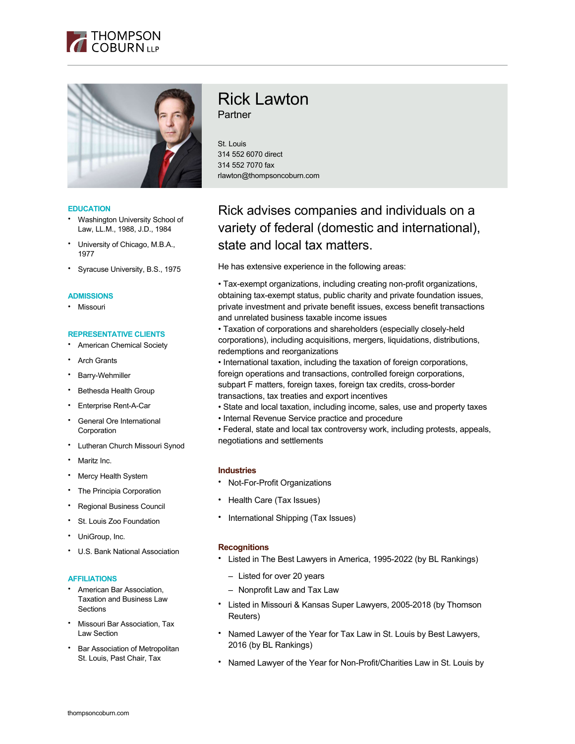



#### **EDUCATION**

- Washington University School of Law, LL.M., 1988, J.D., 1984
- University of Chicago, M.B.A., 1977
- Syracuse University, B.S., 1975

#### **ADMISSIONS**

• Missouri

## **REPRESENTATIVE CLIENTS**

- American Chemical Society
- **Arch Grants**
- Barry-Wehmiller
- Bethesda Health Group
- Enterprise Rent-A-Car
- General Ore International Corporation
- Lutheran Church Missouri Synod
- Maritz Inc.
- **Mercy Health System**
- The Principia Corporation
- Regional Business Council
- St. Louis Zoo Foundation
- UniGroup, Inc.
- U.S. Bank National Association

#### **AFFILIATIONS**

- American Bar Association, Taxation and Business Law **Sections**
- Missouri Bar Association, Tax Law Section
- Bar Association of Metropolitan St. Louis, Past Chair, Tax

# Rick Lawton **Partner**

St. Louis 314 552 6070 direct 314 552 7070 fax rlawton@thompsoncoburn.com

# Rick advises companies and individuals on a variety of federal (domestic and international), state and local tax matters.

He has extensive experience in the following areas:

• Tax-exempt organizations, including creating non-profit organizations, obtaining tax-exempt status, public charity and private foundation issues, private investment and private benefit issues, excess benefit transactions and unrelated business taxable income issues

• Taxation of corporations and shareholders (especially closely-held corporations), including acquisitions, mergers, liquidations, distributions, redemptions and reorganizations

• International taxation, including the taxation of foreign corporations, foreign operations and transactions, controlled foreign corporations, subpart F matters, foreign taxes, foreign tax credits, cross-border transactions, tax treaties and export incentives

- State and local taxation, including income, sales, use and property taxes
- Internal Revenue Service practice and procedure

• Federal, state and local tax controversy work, including protests, appeals, negotiations and settlements

# **Industries**

- Not-For-Profit Organizations
- Health Care (Tax Issues)
- International Shipping (Tax Issues)

#### **Recognitions**

- Listed in The Best Lawyers in America, 1995-2022 (by BL Rankings)
	- Listed for over 20 years
	- Nonprofit Law and Tax Law
- Listed in Missouri & Kansas Super Lawyers, 2005-2018 (by Thomson Reuters)
- Named Lawyer of the Year for Tax Law in St. Louis by Best Lawyers, 2016 (by BL Rankings)
- Named Lawyer of the Year for Non-Profit/Charities Law in St. Louis by